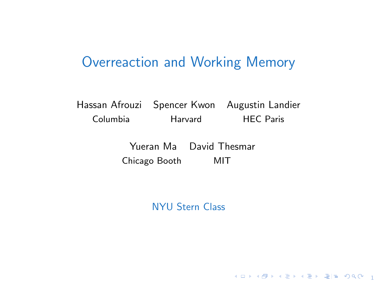## Overreaction and Working Memory

Hassan Afrouzi Spencer Kwon Augustin Landier Columbia Harvard HEC Paris

> Yueran Ma David Thesmar Chicago Booth MIT

> > NYU Stern Class

10 M (日本 1월 M 4월 M 4월 M 월 W 1000 M 10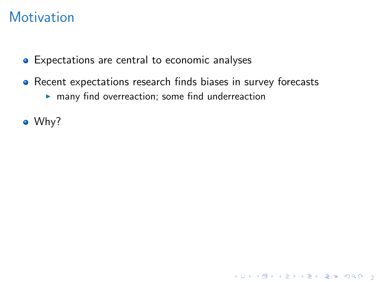- **•** Expectations are central to economic analyses
- Recent expectations research finds biases in survey forecasts  $\blacktriangleright$  many find overreaction; some find underreaction

4 ロ ▶ 4 @ ▶ 4 할 ▶ 4 할 ▶ | 할 게 이익어 | 2

• Why?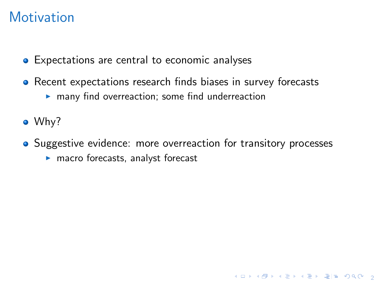- **•** Expectations are central to economic analyses
- Recent expectations research finds biases in survey forecasts
	- $\blacktriangleright$  many find overreaction; some find underreaction
- Why?
- Suggestive evidence: more overreaction for transitory processes

4 ロ X 4 個 X 4 평 X 4 평 X 원 팀 및 X 9 Q 연 ...

 $\blacktriangleright$  macro forecasts, analyst forecast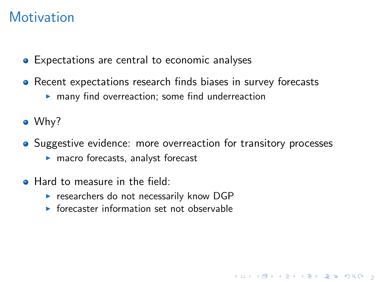- **•** Expectations are central to economic analyses
- Recent expectations research finds biases in survey forecasts
	- $\blacktriangleright$  many find overreaction; some find underreaction
- Why?
- Suggestive evidence: more overreaction for transitory processes

4 ロ ▶ 4 個 ▶ 4 로 ▶ 4 로 ▶ 로(로) 9 Q @ 1 g

- $\blacktriangleright$  macro forecasts, analyst forecast
- **Hard to measure in the field:** 
	- $\triangleright$  researchers do not necessarily know DGP
	- $\triangleright$  forecaster information set not observable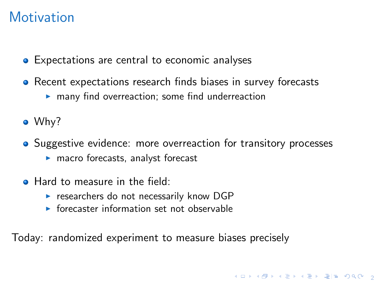- **•** Expectations are central to economic analyses
- Recent expectations research finds biases in survey forecasts
	- $\blacktriangleright$  many find overreaction; some find underreaction
- Why?
- Suggestive evidence: more overreaction for transitory processes

4 ロ ▶ 4 @ ▶ 4 블 ▶ 4 블 ▶ - 콜| ≌ 19 Q Q - 9

- $\blacktriangleright$  macro forecasts, analyst forecast
- **Hard to measure in the field:** 
	- $\triangleright$  researchers do not necessarily know DGP
	- $\triangleright$  forecaster information set not observable

Today: randomized experiment to measure biases precisely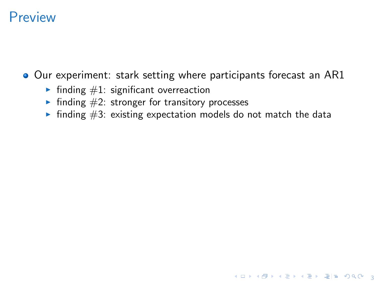## **Preview**

Our experiment: stark setting where participants forecast an AR1

- Inding  $#1$ : significant overreaction
- $\blacktriangleright$  finding  $\#2$ : stronger for transitory processes
- Inding  $#3$ : existing expectation models do not match the data

4 ロ ▶ 4 @ ▶ 4 할 ▶ 4 할 ▶ | 할 게 이익어 | 3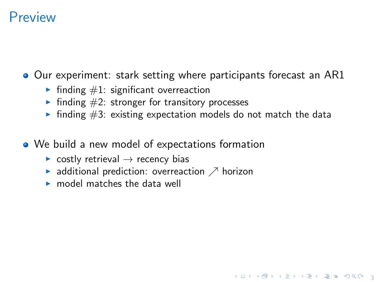## **Preview**

**Our experiment: stark setting where participants forecast an AR1** 

- Inding  $\#1$ : significant overreaction
- ighthropology for transitory processes in finding  $#2$ : stronger for transitory processes
- $\triangleright$  finding #3: existing expectation models do not match the data

3 ロ > 3 個 > 3 분 > 3 분 > 분(보) 9 % % . 3

- We build a new model of expectations formation
	- $\triangleright$  costly retrieval  $\rightarrow$  recency bias
	- $\blacktriangleright$  additional prediction: overreaction  $\nearrow$  horizon
	- $\blacktriangleright$  model matches the data well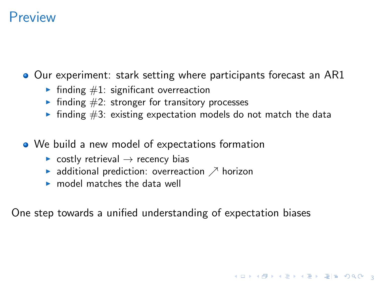## **Preview**

**Our experiment: stark setting where participants forecast an AR1** 

- Inding  $\#1$ : significant overreaction
- ighthropology for transitory processes in finding  $#2$ : stronger for transitory processes
- Inding  $#3$ : existing expectation models do not match the data

3 ロ X 3 8 X 3 3 3 4 2 X 3 3 4 8 4 9 4 9 4 2 3

- We build a new model of expectations formation
	- $\triangleright$  costly retrieval  $\rightarrow$  recency bias
	- $\blacktriangleright$  additional prediction: overreaction  $\nearrow$  horizon
	- $\blacktriangleright$  model matches the data well

One step towards a unified understanding of expectation biases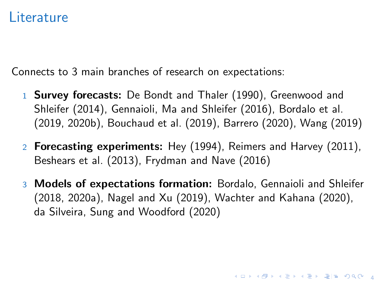#### **Literature**

Connects to 3 main branches of research on expectations:

- 1 Survey forecasts: [De Bondt and Thaler \(1990\)](#page-23-0), [Greenwood and](#page-24-0) [Shleifer \(2014\)](#page-24-0), [Gennaioli, Ma and Shleifer \(2016\)](#page-24-1), [Bordalo et al.](#page-23-1) [\(2019,](#page-23-1) [2020b\)](#page-23-2), [Bouchaud et al. \(2019\)](#page-24-2), [Barrero \(2020\)](#page-23-3), [Wang \(2019\)](#page-26-0)
- 2 Forecasting experiments: [Hey \(1994\)](#page-25-0), [Reimers and Harvey \(2011\)](#page-25-1), [Beshears et al. \(2013\)](#page-23-4), [Frydman and Nave \(2016\)](#page-24-3)
- 3 Models of expectations formation: [Bordalo, Gennaioli and Shleifer](#page-23-5) [\(2018,](#page-23-5) [2020a\)](#page-23-6), [Nagel and Xu \(2019\)](#page-25-2), [Wachter and Kahana \(2020\)](#page-25-3), [da Silveira, Sung and Woodford \(2020\)](#page-24-4)

4 ロ ▶ 4 @ ▶ 4 평 ▶ 4 평 ▶ 평 | ≆ | 9 Q ⊙ | 4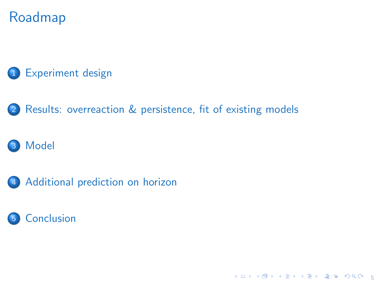# Roadmap

#### 1 [Experiment design](#page-10-0)

2 [Results: overreaction & persistence, fit of existing models](#page-12-0)

#### **[Model](#page-17-0)**

4 [Additional prediction on horizon](#page-20-0)



K ロ K K @ K K 할 K K 할 X (할 X ) 할 말 수 있습니다.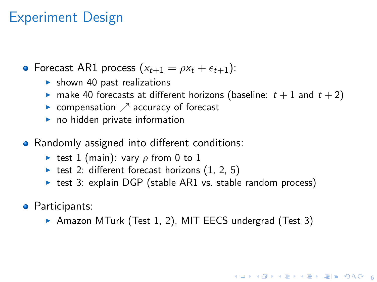## <span id="page-10-0"></span>Experiment Design

- Forecast AR1 process  $(x_{t+1} = \rho x_t + \epsilon_{t+1})$ :
	- $\blacktriangleright$  shown 40 past realizations
	- **If** make 40 forecasts at different horizons (baseline:  $t + 1$  and  $t + 2$ )
	- compensation  $\nearrow$  accuracy of forecast
	- $\blacktriangleright$  no hidden private information
- Randomly assigned into different conditions:
	- Figure test 1 (main): vary  $\rho$  from 0 to 1
	- ightharpoont test 2: different forecast horizons  $(1, 2, 5)$
	- $\triangleright$  test 3: explain DGP (stable AR1 vs. stable random process)
- **•** Participants:
	- ▶ Amazon MTurk (Test 1, 2), MIT EECS undergrad (Test 3)

**K ロ ▶ K @ ▶ K 할 ▶ K 할 ▶ 할 말 알 아 있어...**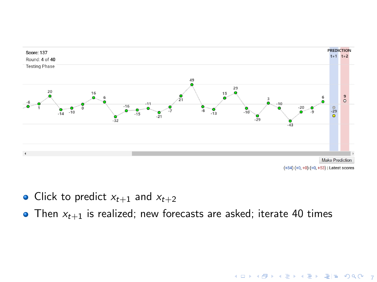

- Click to predict  $x_{t+1}$  and  $x_{t+2}$
- Then  $x_{t+1}$  is realized; new forecasts are asked; iterate 40 times

**Y ロ X 4 @ X X 할 X X 할 X 결[될 X 9 Q O L 7**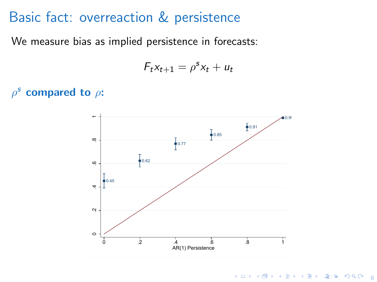## <span id="page-12-0"></span>Basic fact: overreaction & persistence

We measure bias as implied persistence in forecasts:

$$
F_t x_{t+1} = \rho^s x_t + u_t
$$

 $\rho^{\rm s}$ compared to  $\rho$ :



K ロ K K @ K K 할 K K 할 X 및 필 및 K 9 Q O U 8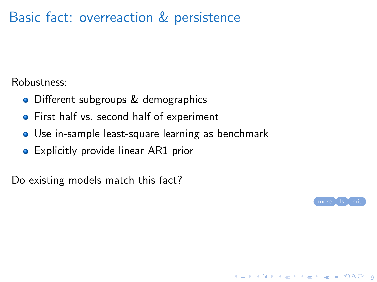# Basic fact: overreaction & persistence

Robustness:

- Different subgroups & demographics
- **•** First half vs. second half of experiment
- Use in-sample least-square learning as benchmark
- **•** Explicitly provide linear AR1 prior

Do existing models match this fact?

<span id="page-13-0"></span>

9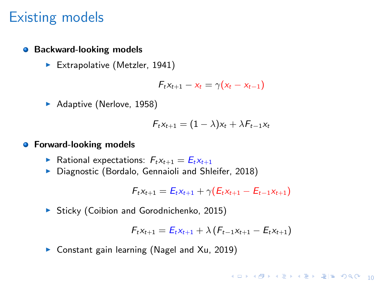#### Existing models

#### **• Backward-looking models**

Extrapolative [\(Metzler, 1941\)](#page-25-4)

$$
F_t x_{t+1} - x_t = \gamma (x_t - x_{t-1})
$$

Adaptive [\(Nerlove, 1958\)](#page-25-5)

$$
F_t x_{t+1} = (1 - \lambda)x_t + \lambda F_{t-1} x_t
$$

#### **•** Forward-looking models

- Rational expectations:  $F_t x_{t+1} = E_t x_{t+1}$
- ▶ Diagnostic [\(Bordalo, Gennaioli and Shleifer, 2018\)](#page-23-5)

$$
F_t x_{t+1} = E_t x_{t+1} + \gamma (E_t x_{t+1} - E_{t-1} x_{t+1})
$$

▶ Sticky [\(Coibion and Gorodnichenko, 2015\)](#page-24-5)

$$
F_t x_{t+1} = E_t x_{t+1} + \lambda (F_{t-1} x_{t+1} - E_t x_{t+1})
$$

 $\triangleright$  Constant gain learning [\(Nagel and Xu, 2019\)](#page-25-2)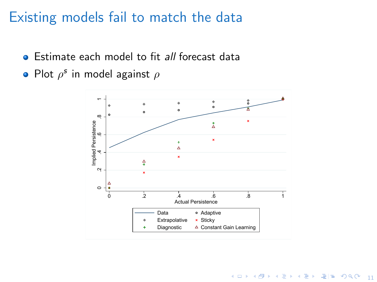## Existing models fail to match the data

- **•** Estimate each model to fit all forecast data
- Plot  $\rho^{\mathsf{s}}$  in model against  $\rho$

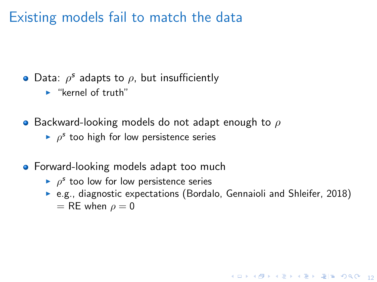Existing models fail to match the data

- Data:  $\rho^s$  adapts to  $\rho$ , but insufficiently
	- $\blacktriangleright$  "kernel of truth"
- **•** Backward-looking models do not adapt enough to  $\rho$ 
	- $\rho^s$  too high for low persistence series
- **•** Forward-looking models adapt too much
	- $\rho^s$  too low for low persistence series
	- $\triangleright$  e.g., diagnostic expectations [\(Bordalo, Gennaioli and Shleifer, 2018\)](#page-23-5)  $=$  RE when  $\rho = 0$

10 ▶ 1 @ ▶ 1 블 ▶ 1 블 ▶ 블 블 | 9 Q ① - 12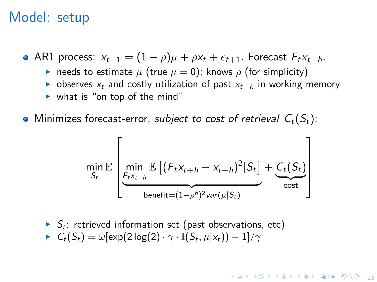#### <span id="page-17-0"></span>Model: setup

• AR1 process:  $x_{t+1} = (1 - \rho)\mu + \rho x_t + \epsilon_{t+1}$ . Forecast  $F_t x_{t+h}$ .

- needs to estimate  $\mu$  (true  $\mu = 0$ ); knows  $\rho$  (for simplicity)
- $\triangleright$  observes  $x_t$  and costly utilization of past  $x_{t-k}$  in working memory
- $\triangleright$  what is "on top of the mind"

• Minimizes forecast-error, subject to cost of retrieval  $C_t(S_t)$ :

$$
\min_{S_t} \mathbb{E}\left[\min_{\substack{F_t x_{t+h} \\ \text{benefit} = (1-\rho^h)^2 \text{var}(\mu|S_t)}} \mathbb{E}\left[(F_t x_{t+h} - x_{t+h})^2 | S_t\right] + \underbrace{C_t(S_t)}_{\text{cost}}\right]
$$

 $\blacktriangleright$   $S_t$ : retrieved information set (past observations, etc)  $\blacktriangleright \; \; \mathcal{C}_t(\mathcal{S}_t) = \omega[\exp(2\log(2)\cdot \gamma \cdot \mathbb{I}(\mathcal{S}_t, \mu | \mathsf{x}_t)) - 1]/\gamma$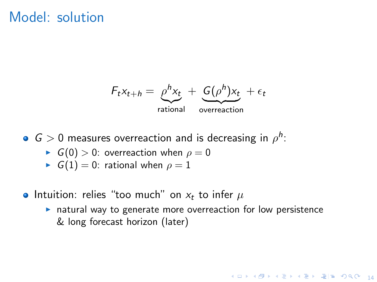#### Model: solution

$$
F_t x_{t+h} = \underset{\text{rational}}{\rho^h x_t} + \underset{\text{overreaction}}{\underbrace{G(\rho^h)x_t}} + \epsilon_t
$$

 $G > 0$  measures overreaction and is decreasing in  $\rho^h$ :

- $\triangleright$  G(0) > 0: overreaction when  $\rho = 0$
- $\triangleright$   $G(1) = 0$ : rational when  $\rho = 1$
- Intuition: relies "too much" on  $x_t$  to infer  $\mu$ 
	- $\triangleright$  natural way to generate more overreaction for low persistence & long forecast horizon (later)

10 ▶ 1 @ ▶ 1 블 ▶ 1 블 ▶ 블 블 | 9 Q ① - 14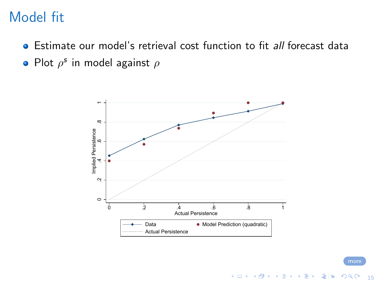# Model fit

- Estimate our model's retrieval cost function to fit *all* forecast data
- Plot  $\rho^{\mathsf{s}}$  in model against  $\rho$



K ロ ▶ K @ ▶ K 할 ▶ K 할 ▶ [할 바 ) 이익(어

<span id="page-19-0"></span>15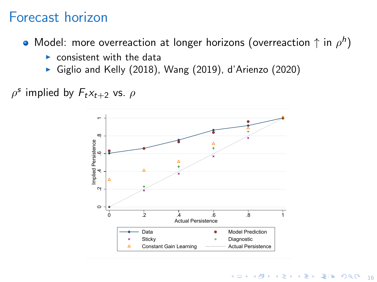## <span id="page-20-0"></span>Forecast horizon

Model: more overreaction at longer horizons (overreaction  $\uparrow$  in  $\rho^h)$ 

- $\triangleright$  consistent with the data
- $\blacktriangleright$  [Giglio and Kelly \(2018\)](#page-24-6), [Wang \(2019\)](#page-26-0), [d'Arienzo \(2020\)](#page-24-7)
- $\rho^s$  implied by  $F_t x_{t+2}$  vs.  $\rho$

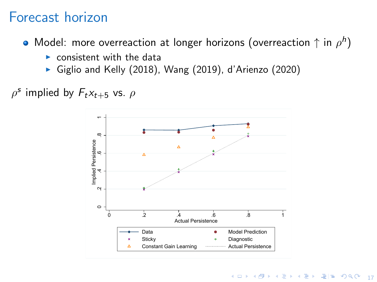## Forecast horizon

Model: more overreaction at longer horizons (overreaction  $\uparrow$  in  $\rho^h)$ 

- $\triangleright$  consistent with the data
- $\blacktriangleright$  [Giglio and Kelly \(2018\)](#page-24-6), [Wang \(2019\)](#page-26-0), [d'Arienzo \(2020\)](#page-24-7)
- $\rho^s$  implied by  $F_t x_{t+5}$  vs.  $\rho$

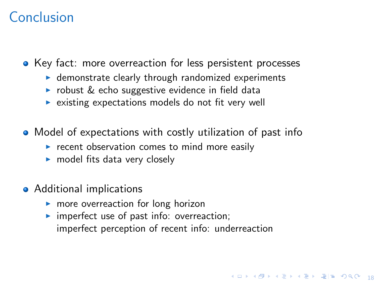# <span id="page-22-0"></span>Conclusion

• Key fact: more overreaction for less persistent processes

- $\blacktriangleright$  demonstrate clearly through randomized experiments
- $\triangleright$  robust & echo suggestive evidence in field data
- $\triangleright$  existing expectations models do not fit very well
- Model of expectations with costly utilization of past info
	- $\triangleright$  recent observation comes to mind more easily
	- $\blacktriangleright$  model fits data very closely
- Additional implications
	- $\triangleright$  more overreaction for long horizon
	- $\triangleright$  imperfect use of past info: overreaction; imperfect perception of recent info: underreaction

18 D X 4 D X 4 E X 4 E X 2 E H 2 9 9 0 18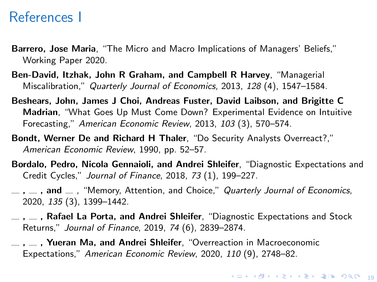#### References I

- <span id="page-23-3"></span>Barrero, Jose Maria, "The Micro and Macro Implications of Managers' Beliefs," Working Paper 2020.
- <span id="page-23-7"></span>Ben-David, Itzhak, John R Graham, and Campbell R Harvey, "Managerial Miscalibration," Quarterly Journal of Economics, 2013, 128 (4), 1547–1584.
- <span id="page-23-4"></span>Beshears, John, James J Choi, Andreas Fuster, David Laibson, and Brigitte C Madrian, "What Goes Up Must Come Down? Experimental Evidence on Intuitive Forecasting," American Economic Review, 2013, 103 (3), 570–574.
- <span id="page-23-0"></span>Bondt, Werner De and Richard H Thaler, "Do Security Analysts Overreact?," American Economic Review, 1990, pp. 52–57.
- <span id="page-23-5"></span>Bordalo, Pedro, Nicola Gennaioli, and Andrei Shleifer, "Diagnostic Expectations and Credit Cycles," Journal of Finance, 2018, 73 (1), 199–227.
- <span id="page-23-6"></span> $, \underline{\hspace{1cm}}$ , and  $\underline{\hspace{1cm}}$ , "Memory, Attention, and Choice," Quarterly Journal of Economics, 2020, 135 (3), 1399–1442.
- <span id="page-23-1"></span> $, \ldots$ , Rafael La Porta, and Andrei Shleifer, "Diagnostic Expectations and Stock Returns," Journal of Finance, 2019, 74 (6), 2839–2874.
- <span id="page-23-2"></span> $, \underline{\hspace{1cm}}$ , Yueran Ma, and Andrei Shleifer, "Overreaction in Macroeconomic Expectations," American Economic Review, 2020, 110 (9), 2748–82.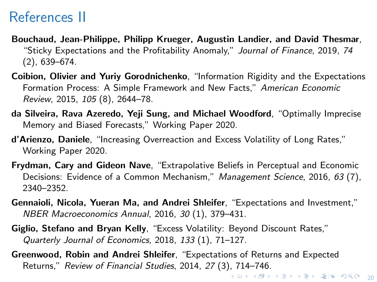# References II

- <span id="page-24-2"></span>Bouchaud, Jean-Philippe, Philipp Krueger, Augustin Landier, and David Thesmar, "Sticky Expectations and the Profitability Anomaly," Journal of Finance, 2019, 74 (2), 639–674.
- <span id="page-24-5"></span>Coibion, Olivier and Yuriy Gorodnichenko, "Information Rigidity and the Expectations Formation Process: A Simple Framework and New Facts," American Economic Review, 2015, 105 (8), 2644–78.
- <span id="page-24-4"></span>da Silveira, Rava Azeredo, Yeji Sung, and Michael Woodford, "Optimally Imprecise Memory and Biased Forecasts," Working Paper 2020.
- <span id="page-24-7"></span>d'Arienzo, Daniele, "Increasing Overreaction and Excess Volatility of Long Rates," Working Paper 2020.
- <span id="page-24-3"></span>Frydman, Cary and Gideon Nave, "Extrapolative Beliefs in Perceptual and Economic Decisions: Evidence of a Common Mechanism," Management Science, 2016, 63 (7), 2340–2352.
- <span id="page-24-1"></span>Gennaioli, Nicola, Yueran Ma, and Andrei Shleifer, "Expectations and Investment," NBER Macroeconomics Annual, 2016, 30 (1), 379–431.
- <span id="page-24-6"></span>Giglio, Stefano and Bryan Kelly, "Excess Volatility: Beyond Discount Rates," Quarterly Journal of Economics, 2018, 133 (1), 71–127.
- <span id="page-24-0"></span>4 ロ ▶ 4 @ ▶ 4 로 ▶ 4 로 ▶ - 로(보) 90,00 (20) Greenwood, Robin and Andrei Shleifer, "Expectations of Returns and Expected Returns," Review of Financial Studies, 2014, 27 (3), 714–746.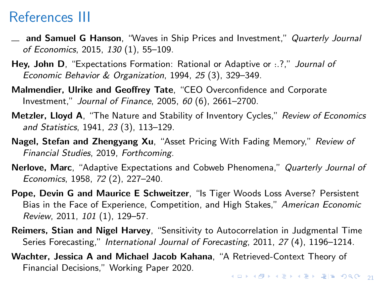## References III

- <span id="page-25-8"></span> $\equiv$  and Samuel G Hanson, "Waves in Ship Prices and Investment," Quarterly Journal of Economics, 2015, 130 (1), 55–109.
- <span id="page-25-0"></span>Hey, John D, "Expectations Formation: Rational or Adaptive or :.?," Journal of Economic Behavior & Organization, 1994, 25 (3), 329–349.
- <span id="page-25-6"></span>Malmendier, Ulrike and Geoffrey Tate, "CEO Overconfidence and Corporate Investment," Journal of Finance, 2005, 60 (6), 2661–2700.
- <span id="page-25-4"></span>Metzler, Lloyd A, "The Nature and Stability of Inventory Cycles," Review of Economics and Statistics, 1941, 23 (3), 113–129.
- <span id="page-25-2"></span>Nagel, Stefan and Zhengyang Xu, "Asset Pricing With Fading Memory," Review of Financial Studies, 2019, Forthcoming.
- <span id="page-25-5"></span>Nerlove, Marc, "Adaptive Expectations and Cobweb Phenomena," Quarterly Journal of Economics, 1958, 72 (2), 227–240.
- <span id="page-25-7"></span>Pope, Devin G and Maurice E Schweitzer, "Is Tiger Woods Loss Averse? Persistent Bias in the Face of Experience, Competition, and High Stakes," American Economic Review, 2011, 101 (1), 129–57.
- <span id="page-25-1"></span>Reimers, Stian and Nigel Harvey, "Sensitivity to Autocorrelation in Judgmental Time Series Forecasting," International Journal of Forecasting, 2011, 27 (4), 1196-1214.
- <span id="page-25-3"></span>Wachter, Jessica A and Michael Jacob Kahana, "A Retrieved-Context Theory of Financial Decisions," Working Paper 2020.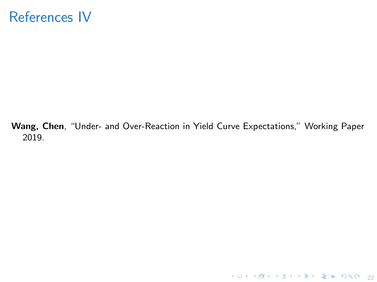## References IV

<span id="page-26-0"></span>Wang, Chen, "Under- and Over-Reaction in Yield Curve Expectations," Working Paper 2019.

4 ロ → 4 @ ▶ 4 블 ▶ 4 블 ▶ - 콜| 늘 - 9 Q Q - 22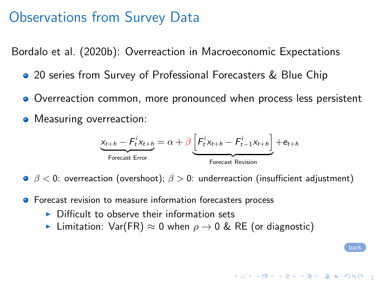## Observations from Survey Data

[Bordalo et al. \(2020b\)](#page-23-2): Overreaction in Macroeconomic Expectations

- 20 series from Survey of Professional Forecasters & Blue Chip
- Overreaction common, more pronounced when process less persistent
- Measuring overreaction:

$$
\underbrace{x_{t+h} - F_t^i x_{t+h}}_{\text{Forecast Error}} = \alpha + \beta \underbrace{\left[F_t^i x_{t+h} - F_{t-1}^i x_{t+h}\right]}_{\text{Forecast Review}} + e_{t+h}
$$

1 ロ ▶ 1 @ ▶ 1 경 ▶ 1 경 ▶ 경 공 게 이익어 ...

<span id="page-27-0"></span>[back](#page-13-0)

 $\theta \neq 0$ : overreaction (overshoot);  $\beta > 0$ : underreaction (insufficient adjustment)

- **•** Forecast revision to measure information forecasters process
	- $\triangleright$  Difficult to observe their information sets
	- **►** Limitation:  $Var(FR) \approx 0$  when  $\rho \rightarrow 0$  & RE (or diagnostic)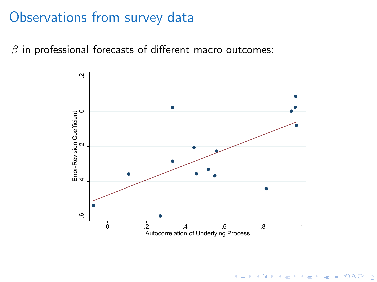## Observations from survey data

 $\beta$  in professional forecasts of different macro outcomes:



2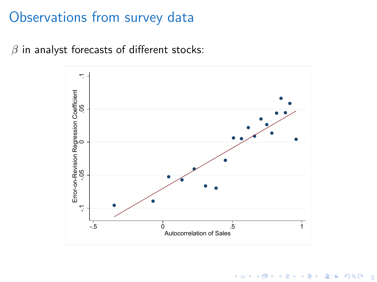#### Observations from survey data

 $\beta$  in analyst forecasts of different stocks:



4 ロ ▶ 4 @ ▶ 4 할 ▶ 4 할 ▶ [콜] > 1 ⊙ Q Q 1 3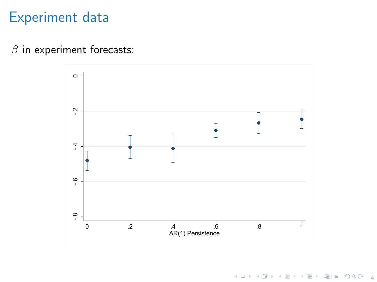## Experiment data

#### $\beta$  in experiment forecasts:



**4 ロ ▶ 4 個 ▶ 4 重 ▶ 4 重 ▶ 道 둘 → 9 Q O → 4**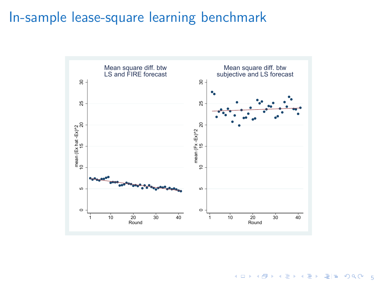## In-sample lease-square learning benchmark



K ロ K K @ K K 할 K K 할 X (할 X ) 할 말 수 있습니다.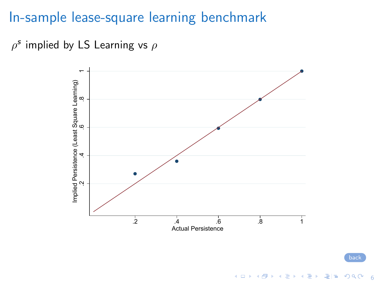#### In-sample lease-square learning benchmark

 $\rho^{\mathsf{s}}$  implied by LS Learning vs  $\rho$ 



[back](#page-13-0)

イロトメタトメミドメミド 追捕 のんぴ

<span id="page-32-0"></span>6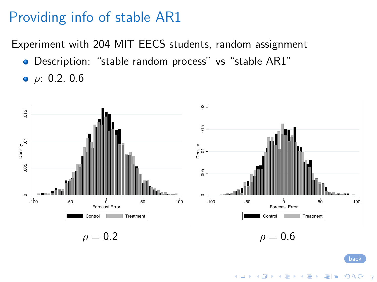# Providing info of stable AR1

Experiment with 204 MIT EECS students, random assignment

- Description: "stable random process" vs "stable AR1"
- $ρ: 0.2, 0.6$



<span id="page-33-0"></span>7

◆ ロ ▶ ◆ 何 ▶ → 로 ▶ → 로 ▶ → 로 는 → 이익(^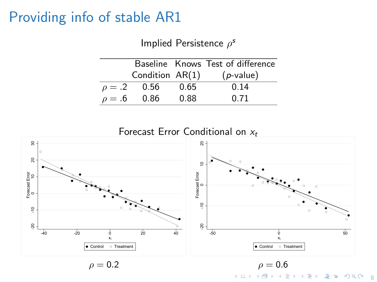## Providing info of stable AR1

Implied Persistence  $\rho^s$ 

|             |                   |      | Baseline Knows Test of difference |
|-------------|-------------------|------|-----------------------------------|
|             | Condition $AR(1)$ |      | $(p$ -value)                      |
|             | $\rho = .2$ 0.56  | 0.65 | 0.14                              |
| $\rho = .6$ | 0.86              | 0.88 | 0.71                              |

K ロ ▶ K @ ▶ K 할 ▶ K 할 ▶ [ 할 날 ) 9 0 0 0 8 Forecast Error Conditional on  $x_t$ -20 -10 Forecast Error<br>0 10 <sup>10</sup> <sup>20</sup> <sup>30</sup> Forecast Error -40 -20 0 20 40  $\mathsf{x}_t$  $\frac{6}{x}$ <br>  $\frac{1}{x}$ <br>  $\frac{1}{x}$ <br>  $\frac{1}{x}$ <br>  $\frac{1}{x}$ <br>  $\frac{1}{x}$ <br>  $\frac{1}{x}$ <br>  $\frac{1}{x}$ <br>  $\frac{1}{x}$ <br>  $\frac{1}{x}$ <br>  $\frac{1}{x}$ <br>  $\frac{1}{x}$ <br>  $\frac{1}{x}$ <br>  $\frac{1}{x}$ <br>  $\frac{1}{x}$ <br>  $\frac{1}{x}$ <br>  $\frac{1}{x}$ <br>  $\frac{1}{x}$ <br>  $\frac{1}{x}$ <br>  $\frac{1}{x}$ <br> Forecast Error <sup>10</sup> <sup>20</sup> Forecast Error -50 0 50  $\mathbf{x}_t$ Control **Treatment**  $\rho = 0.2$   $\rho = 0.6$